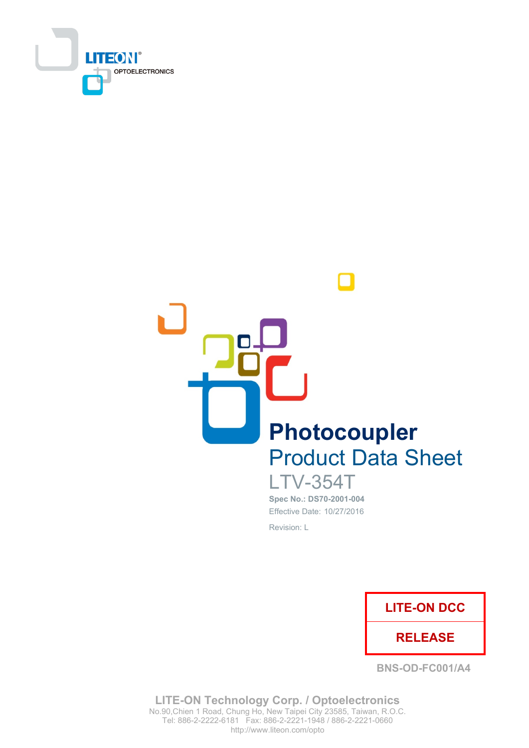



**LTV-354T** Spec No.: DS70-2001-004 Effective Date: 10/27/2016 Revision: L



**BNS-OD-FC001/A4** 

**LITE-ON Technology Corp. / Optoelectronics** No.90, Chien 1 Road, Chung Ho, New Taipei City 23585, Taiwan, R.O.C. Tel: 886-2-2222-6181 Fax: 886-2-2221-1948 / 886-2-2221-0660 http://www.liteon.com/opto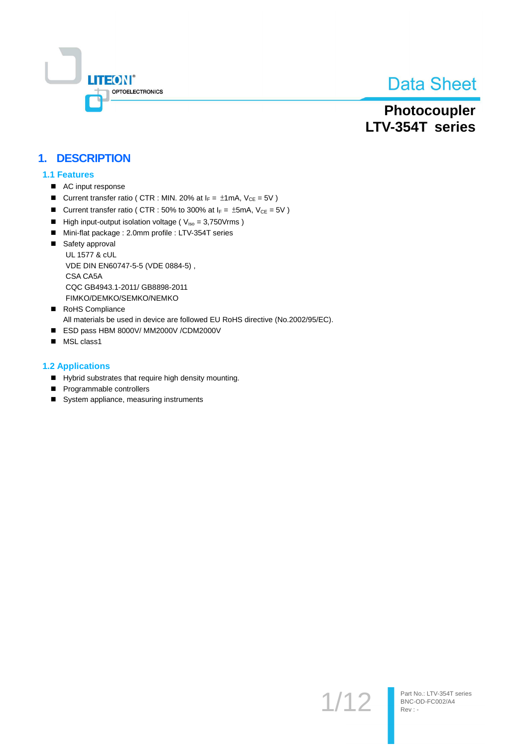

Photocoupler LTV-354T series

### 1. DESCRIPTION

#### **1.1 Features**

- AC input response
- Current transfer ratio ( CTR : MIN. 20% at  $I_F = \pm 1$ mA,  $V_{CE} = 5V$  )
- Current transfer ratio ( CTR : 50% to 300% at  $I_F = \pm 5$ mA,  $V_{CE} = 5V$  )
- High input-output isolation voltage ( $V_{iso} = 3,750V$ rms)
- Mini-flat package : 2.0mm profile : LTV-354T series
- Safety approval **UL 1577 & cUL** VDE DIN EN60747-5-5 (VDE 0884-5), CSA CA5A CQC GB4943.1-2011/ GB8898-2011 FIMKO/DEMKO/SEMKO/NEMKO
- RoHS Compliance All materials be used in device are followed EU RoHS directive (No.2002/95/EC).
- ESD pass HBM 8000V/ MM2000V /CDM2000V
- MSL class1

#### **1.2 Applications**

- Hybrid substrates that require high density mounting.
- Programmable controllers
- System appliance, measuring instruments

 $1/12$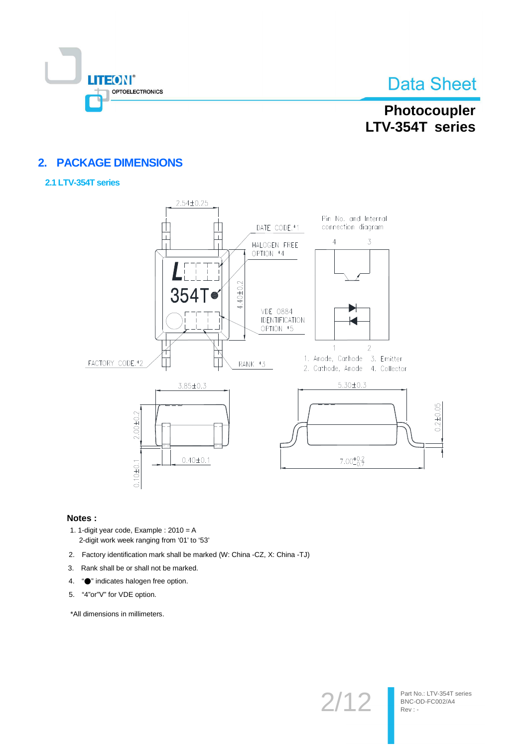

### Photocoupler LTV-354T series

### 2. PACKAGE DIMENSIONS

#### 2.1 LTV-354T series



#### Notes:

- 1. 1-digit year code, Example :  $2010 = A$ 2-digit work week ranging from '01' to '53'
- 2. Factory identification mark shall be marked (W: China -CZ, X: China -TJ)
- 3. Rank shall be or shall not be marked.
- 4. "• indicates halogen free option.
- 5. "4"or"V" for VDE option.

\*All dimensions in millimeters.

 $2/12$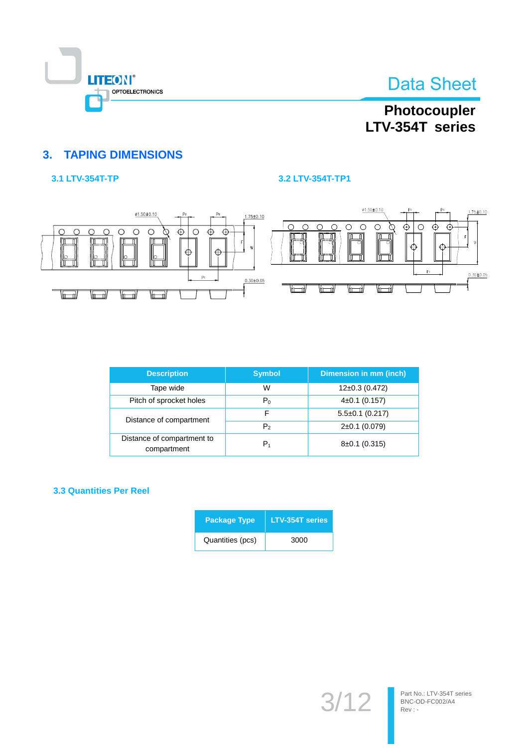

## Photocoupler LTV-354T series

### **3. TAPING DIMENSIONS**

#### 3.1 LTV-354T-TP

#### 3.2 LTV-354T-TP1



| <b>Description</b>                        | <b>Symbol</b>  | Dimension in mm (inch) |
|-------------------------------------------|----------------|------------------------|
| Tape wide                                 | W              | $12\pm0.3$ (0.472)     |
| Pitch of sprocket holes                   | $P_0$          | $4\pm0.1$ (0.157)      |
| Distance of compartment                   | F              | $5.5\pm0.1$ (0.217)    |
|                                           | P <sub>2</sub> | $2\pm0.1$ (0.079)      |
| Distance of compartment to<br>compartment | $P_1$          | $8\pm0.1$ (0.315)      |

#### **3.3 Quantities Per Reel**

| <b>Package Type</b> | <b>LTV-354T series</b> |  |  |
|---------------------|------------------------|--|--|
| Quantities (pcs)    | 3000                   |  |  |

 $3/$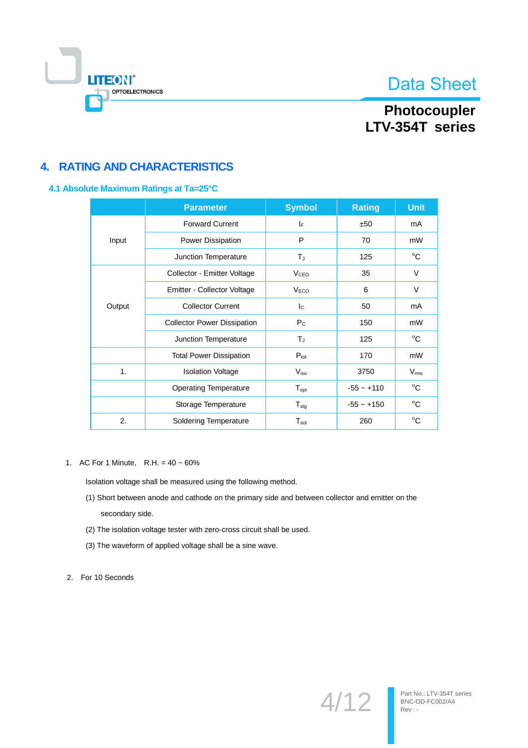

### Photocoupler LTV-354T series

### **4. RATING AND CHARACTERISTICS**

#### 4.1 Absolute Maximum Ratings at Ta=25°C

|                                                                                                  | <b>Parameter</b>               | <b>Symbol</b>              | <b>Rating</b> | <b>Unit</b>   |
|--------------------------------------------------------------------------------------------------|--------------------------------|----------------------------|---------------|---------------|
|                                                                                                  | <b>Forward Current</b>         | IF.                        | ±50           | mA            |
| Input                                                                                            | Power Dissipation              | P                          | 70            | mW            |
| Junction Temperature                                                                             |                                | $T_{\rm J}$                | 125           | $^{\circ}C$   |
|                                                                                                  | Collector - Emitter Voltage    | V <sub>CEO</sub>           | 35            | V             |
|                                                                                                  | Emitter - Collector Voltage    | V <sub>ECO</sub>           | 6             | $\vee$        |
| <b>Collector Current</b><br>Output<br><b>Collector Power Dissipation</b><br>Junction Temperature |                                | $\mathsf{I}_\mathsf{C}$    | 50            | mA            |
|                                                                                                  |                                | $P_{C}$                    | 150           | mW            |
|                                                                                                  |                                | Tu,                        | 125           | $^{\circ}C$   |
|                                                                                                  | <b>Total Power Dissipation</b> | $P_{\text{tot}}$           | 170           | mW            |
| $\mathbf{1}$ .                                                                                   | <b>Isolation Voltage</b>       | $V_{\text{iso}}$           | 3750          | $V_{\rm rms}$ |
|                                                                                                  | <b>Operating Temperature</b>   | $T_{\mathsf{opr}}$         | $-55 - +110$  | $^{\circ}C$   |
|                                                                                                  | Storage Temperature            | ${\mathsf T}_{\text{stg}}$ | $-55 - +150$  | °C            |
| 2.                                                                                               | <b>Soldering Temperature</b>   | ${\mathsf T}_{\sf sol}$    | 260           | $^{\circ}C$   |

1. AC For 1 Minute, R.H. =  $40 \sim 60\%$ 

Isolation voltage shall be measured using the following method.

- (1) Short between anode and cathode on the primary side and between collector and emitter on the secondary side.
- (2) The isolation voltage tester with zero-cross circuit shall be used.
- (3) The waveform of applied voltage shall be a sine wave.

2. For 10 Seconds

 $4/12$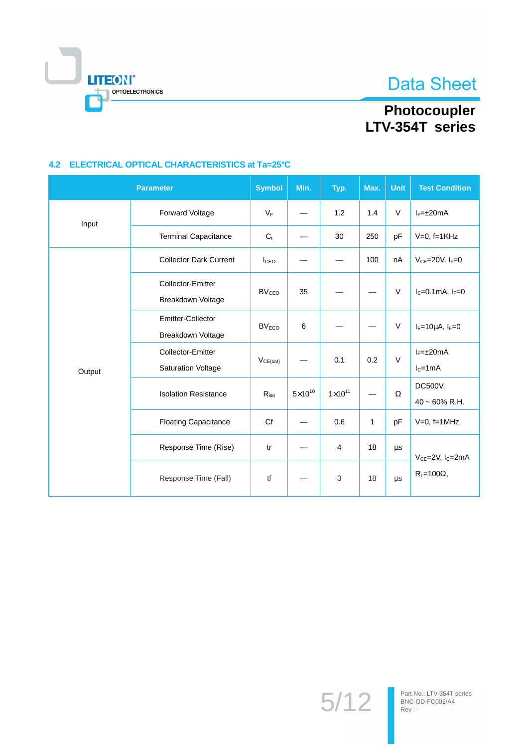

# Photocoupler<br>LTV-354T series

#### 4.2 ELECTRICAL OPTICAL CHARACTERISTICS at Ta=25°C

|        | <b>Parameter</b>                               | <b>Symbol</b>           | Min.               | Typ.             | Max.         | Unit     | <b>Test Condition</b>                    |  |
|--------|------------------------------------------------|-------------------------|--------------------|------------------|--------------|----------|------------------------------------------|--|
| Input  | Forward Voltage                                | $V_F$                   |                    | 1.2              | 1.4          | $\vee$   | $I_F = \pm 20$ mA                        |  |
|        | <b>Terminal Capacitance</b>                    | $C_t$                   |                    | 30               | 250          | pF       | $V=0$ , f=1KHz                           |  |
| Output | <b>Collector Dark Current</b>                  | I <sub>CEO</sub>        |                    |                  | 100          | nA       | $V_{CE}$ =20V, $I_F$ =0                  |  |
|        | Collector-Emitter<br>Breakdown Voltage         | <b>BV<sub>CEO</sub></b> | 35                 |                  |              | $\vee$   | $I_C = 0.1$ mA, $I_F = 0$                |  |
|        | Emitter-Collector<br>Breakdown Voltage         | $BV_{ECO}$              | 6                  |                  |              | $\vee$   | $I_{E} = 10 \mu A$ , $I_{F} = 0$         |  |
|        | Collector-Emitter<br><b>Saturation Voltage</b> | $V_{CE(sat)}$           |                    | 0.1              | 0.2          | $\vee$   | $I_F = \pm 20$ mA<br>$I_C = 1mA$         |  |
|        | <b>Isolation Resistance</b>                    | $R_{iso}$               | $5 \times 10^{10}$ | $1\times10^{11}$ |              | $\Omega$ | DC500V,<br>$40 \sim 60\%$ R.H.           |  |
|        | <b>Floating Capacitance</b>                    | Cf                      |                    | 0.6              | $\mathbf{1}$ | pF       | $V=0$ , f=1MHz                           |  |
|        | Response Time (Rise)                           | tr                      |                    | $\overline{4}$   | 18           | μs       | V <sub>CE</sub> =2V, I <sub>C</sub> =2mA |  |
|        | Response Time (Fall)                           | tf                      |                    | $\mathbf{3}$     | 18           | $\mu s$  | $R_L = 100\Omega$ ,                      |  |

 $5/12$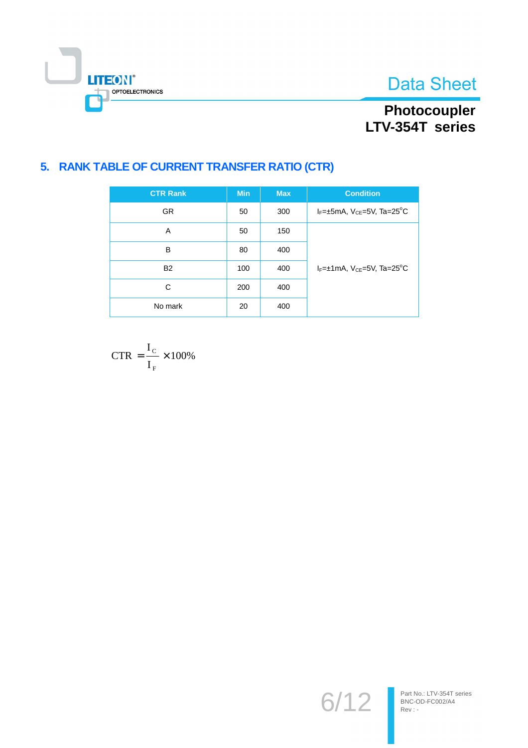**Data Sheet** 



# Photocoupler<br>LTV-354T series

### 5. RANK TABLE OF CURRENT TRANSFER RATIO (CTR)

| <b>CTR Rank</b> | <b>Min</b> | <b>Max</b> | <b>Condition</b>                                       |
|-----------------|------------|------------|--------------------------------------------------------|
| <b>GR</b>       | 50         | 300        | $I_F = \pm 5$ mA, $V_{CE} = 5V$ , Ta=25 <sup>o</sup> C |
| A               | 50         | 150        |                                                        |
| B               | 80         | 400        |                                                        |
| <b>B2</b>       | 100        | 400        | $I_F = \pm 1$ mA, $V_{CF} = 5V$ , Ta=25 <sup>o</sup> C |
| С               | 200        | 400        |                                                        |
| No mark         | 20         | 400        |                                                        |

$$
CTR = \frac{I_c}{I_F} \times 100\%
$$

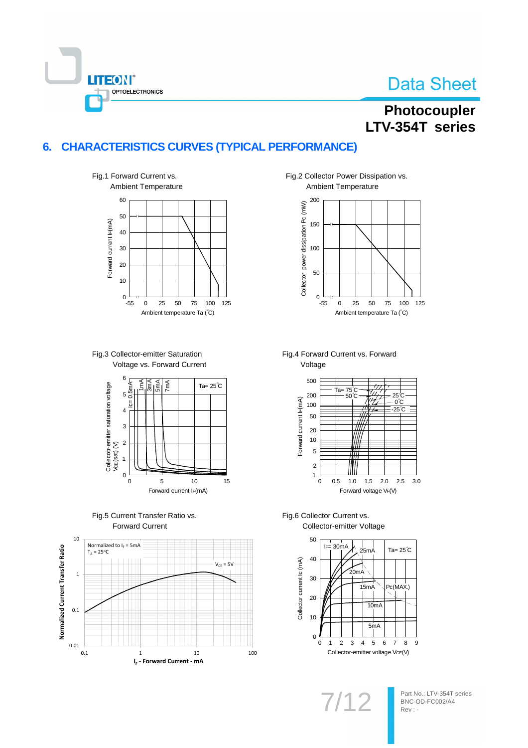

## Photocoupler LTV-354T series

#### **CHARACTERISTICS CURVES (TYPICAL PERFORMANCE)**  $6.$











Fig.2 Collector Power Dissipation vs. Ambient Temperature



Fig.4 Forward Current vs. Forward Voltage



Fig.6 Collector Current vs. Collector-emitter Voltage



 $7/1$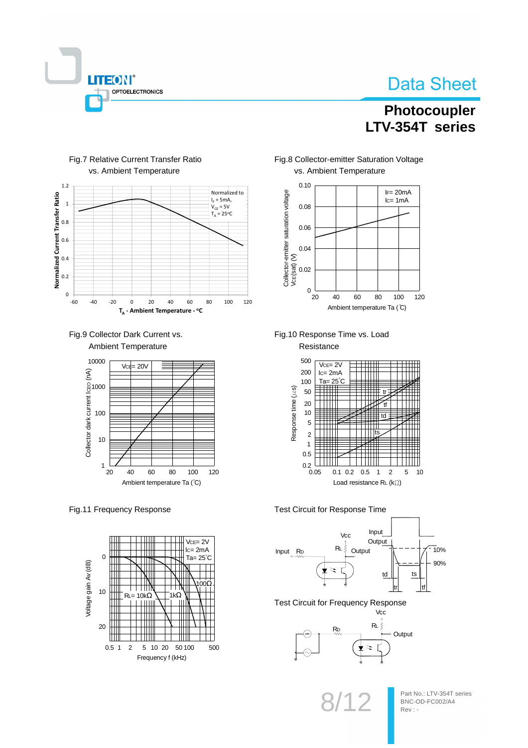

### Photocoupler LTV-354T series



#### Fig.7 Relative Current Transfer Ratio vs. Ambient Temperature





#### Fig.11 Frequency Response



Fig.8 Collector-emitter Saturation Voltage vs. Ambient Temperature



Fig.10 Response Time vs. Load Resistance



Test Circuit for Response Time



**Test Circuit for Frequency Response** 

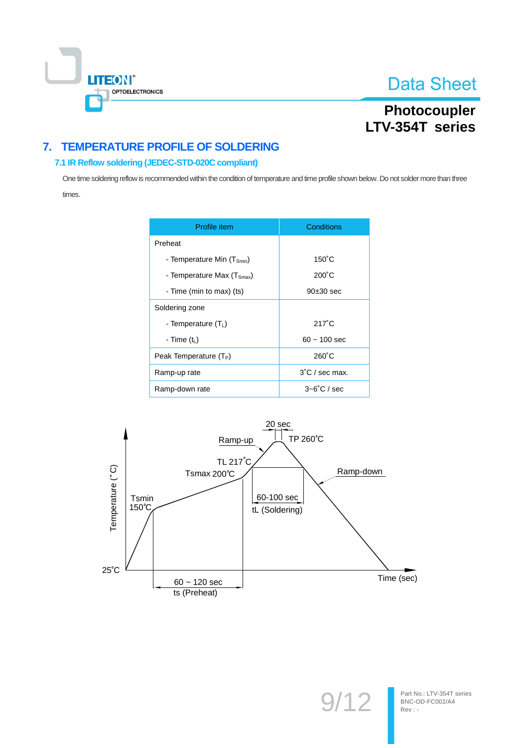

Part No.: LTV-354T series

BNC-OD-FC002/A4

Rev: -

 $9'$ 

### Photocoupler LTV-354T series

### 7. TEMPERATURE PROFILE OF SOLDERING

#### 7.1 IR Reflow soldering (JEDEC-STD-020C compliant)

One time soldering reflow is recommended within the condition of temperature and time profile shown below. Do not solder more than three times.

| Profile item                           | Conditions               |  |  |
|----------------------------------------|--------------------------|--|--|
| Preheat                                |                          |  |  |
| - Temperature Min (T <sub>Smin</sub> ) | $150^{\circ}$ C          |  |  |
| - Temperature Max $(TSmax)$            | $200^{\circ}$ C          |  |  |
| - Time (min to max) (ts)               | $90±30$ sec              |  |  |
| Soldering zone                         |                          |  |  |
| - Temperature $(T_1)$                  | $217^\circ C$            |  |  |
| - Time $(tL)$                          | $60 - 100$ sec           |  |  |
| Peak Temperature $(T_P)$               | $260^{\circ}$ C          |  |  |
| Ramp-up rate                           | $3^{\circ}$ C / sec max. |  |  |
| Ramp-down rate                         | $3 - 6^\circ$ C / sec    |  |  |

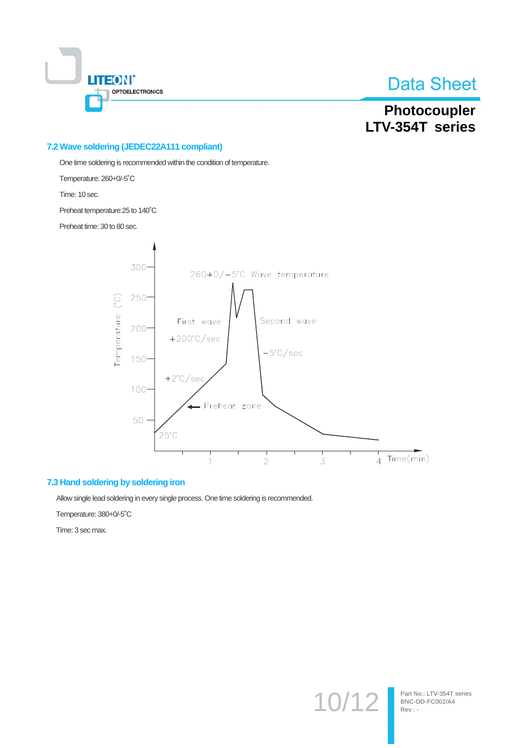

### Photocoupler LTV-354T series

#### 7.2 Wave soldering (JEDEC22A111 compliant)

One time soldering is recommended within the condition of temperature.

Temperature: 260+0/-5°C

Time: 10 sec.

Preheat temperature: 25 to 140°C

Preheat time: 30 to 80 sec.



#### 7.3 Hand soldering by soldering iron

Allow single lead soldering in every single process. One time soldering is recommended.

Temperature: 380+0/-5°C

Time: 3 sec max.

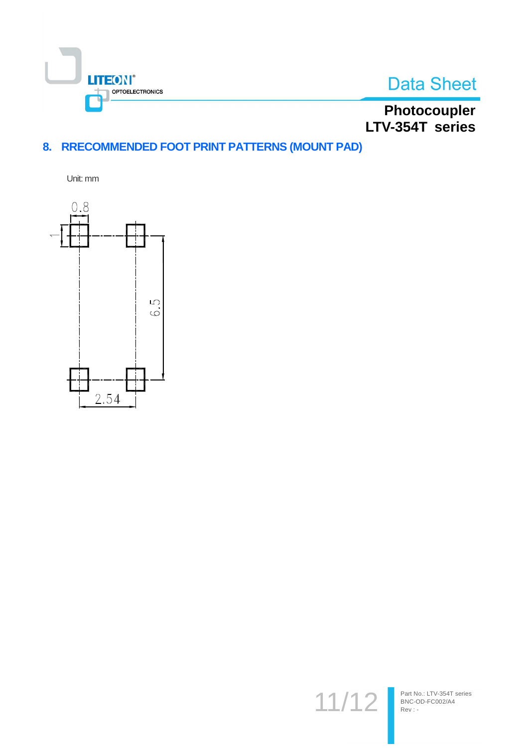



Photocoupler<br>LTV-354T series

### 8. RRECOMMENDED FOOT PRINT PATTERNS (MOUNT PAD)

Unit: mm